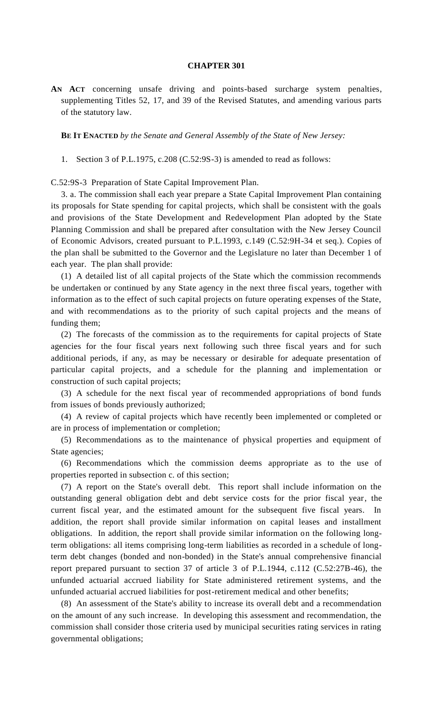## **CHAPTER 301**

**AN ACT** concerning unsafe driving and points-based surcharge system penalties, supplementing Titles 52, 17, and 39 of the Revised Statutes, and amending various parts of the statutory law.

**BE IT ENACTED** *by the Senate and General Assembly of the State of New Jersey:*

1. Section 3 of P.L.1975, c.208 (C.52:9S-3) is amended to read as follows:

C.52:9S-3 Preparation of State Capital Improvement Plan.

3. a. The commission shall each year prepare a State Capital Improvement Plan containing its proposals for State spending for capital projects, which shall be consistent with the goals and provisions of the State Development and Redevelopment Plan adopted by the State Planning Commission and shall be prepared after consultation with the New Jersey Council of Economic Advisors, created pursuant to P.L.1993, c.149 (C.52:9H-34 et seq.). Copies of the plan shall be submitted to the Governor and the Legislature no later than December 1 of each year. The plan shall provide:

(1) A detailed list of all capital projects of the State which the commission recommends be undertaken or continued by any State agency in the next three fiscal years, together with information as to the effect of such capital projects on future operating expenses of the State, and with recommendations as to the priority of such capital projects and the means of funding them;

(2) The forecasts of the commission as to the requirements for capital projects of State agencies for the four fiscal years next following such three fiscal years and for such additional periods, if any, as may be necessary or desirable for adequate presentation of particular capital projects, and a schedule for the planning and implementation or construction of such capital projects;

(3) A schedule for the next fiscal year of recommended appropriations of bond funds from issues of bonds previously authorized;

(4) A review of capital projects which have recently been implemented or completed or are in process of implementation or completion;

(5) Recommendations as to the maintenance of physical properties and equipment of State agencies;

(6) Recommendations which the commission deems appropriate as to the use of properties reported in subsection c. of this section;

(7) A report on the State's overall debt. This report shall include information on the outstanding general obligation debt and debt service costs for the prior fiscal year, the current fiscal year, and the estimated amount for the subsequent five fiscal years. In addition, the report shall provide similar information on capital leases and installment obligations. In addition, the report shall provide similar information on the following longterm obligations: all items comprising long-term liabilities as recorded in a schedule of longterm debt changes (bonded and non-bonded) in the State's annual comprehensive financial report prepared pursuant to section 37 of article 3 of P.L.1944, c.112 (C.52:27B-46), the unfunded actuarial accrued liability for State administered retirement systems, and the unfunded actuarial accrued liabilities for post-retirement medical and other benefits;

(8) An assessment of the State's ability to increase its overall debt and a recommendation on the amount of any such increase. In developing this assessment and recommendation, the commission shall consider those criteria used by municipal securities rating services in rating governmental obligations;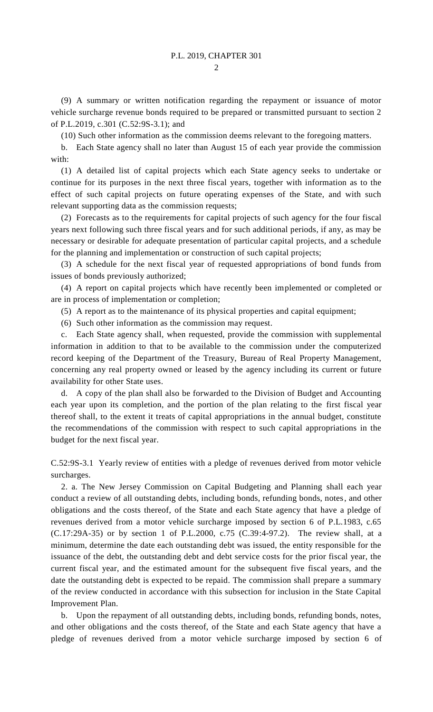(9) A summary or written notification regarding the repayment or issuance of motor vehicle surcharge revenue bonds required to be prepared or transmitted pursuant to section 2 of P.L.2019, c.301 (C.52:9S-3.1); and

(10) Such other information as the commission deems relevant to the foregoing matters.

b. Each State agency shall no later than August 15 of each year provide the commission with:

(1) A detailed list of capital projects which each State agency seeks to undertake or continue for its purposes in the next three fiscal years, together with information as to the effect of such capital projects on future operating expenses of the State, and with such relevant supporting data as the commission requests;

(2) Forecasts as to the requirements for capital projects of such agency for the four fiscal years next following such three fiscal years and for such additional periods, if any, as may be necessary or desirable for adequate presentation of particular capital projects, and a schedule for the planning and implementation or construction of such capital projects;

(3) A schedule for the next fiscal year of requested appropriations of bond funds from issues of bonds previously authorized;

(4) A report on capital projects which have recently been implemented or completed or are in process of implementation or completion;

(5) A report as to the maintenance of its physical properties and capital equipment;

(6) Such other information as the commission may request.

c. Each State agency shall, when requested, provide the commission with supplemental information in addition to that to be available to the commission under the computerized record keeping of the Department of the Treasury, Bureau of Real Property Management, concerning any real property owned or leased by the agency including its current or future availability for other State uses.

d. A copy of the plan shall also be forwarded to the Division of Budget and Accounting each year upon its completion, and the portion of the plan relating to the first fiscal year thereof shall, to the extent it treats of capital appropriations in the annual budget, constitute the recommendations of the commission with respect to such capital appropriations in the budget for the next fiscal year.

C.52:9S-3.1 Yearly review of entities with a pledge of revenues derived from motor vehicle surcharges.

2. a. The New Jersey Commission on Capital Budgeting and Planning shall each year conduct a review of all outstanding debts, including bonds, refunding bonds, notes, and other obligations and the costs thereof, of the State and each State agency that have a pledge of revenues derived from a motor vehicle surcharge imposed by section 6 of P.L.1983, c.65 (C.17:29A-35) or by section 1 of P.L.2000, c.75 (C.39:4-97.2). The review shall, at a minimum, determine the date each outstanding debt was issued, the entity responsible for the issuance of the debt, the outstanding debt and debt service costs for the prior fiscal year, the current fiscal year, and the estimated amount for the subsequent five fiscal years, and the date the outstanding debt is expected to be repaid. The commission shall prepare a summary of the review conducted in accordance with this subsection for inclusion in the State Capital Improvement Plan.

b. Upon the repayment of all outstanding debts, including bonds, refunding bonds, notes, and other obligations and the costs thereof, of the State and each State agency that have a pledge of revenues derived from a motor vehicle surcharge imposed by section 6 of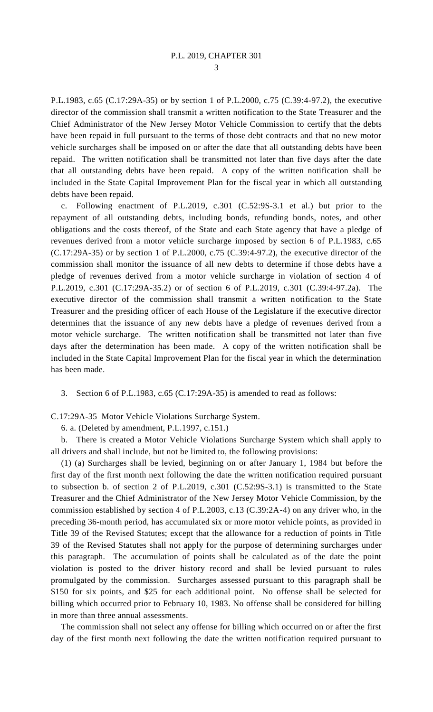P.L.1983, c.65 (C.17:29A-35) or by section 1 of P.L.2000, c.75 (C.39:4-97.2), the executive director of the commission shall transmit a written notification to the State Treasurer and the Chief Administrator of the New Jersey Motor Vehicle Commission to certify that the debts have been repaid in full pursuant to the terms of those debt contracts and that no new motor vehicle surcharges shall be imposed on or after the date that all outstanding debts have been repaid. The written notification shall be transmitted not later than five days after the date that all outstanding debts have been repaid. A copy of the written notification shall be included in the State Capital Improvement Plan for the fiscal year in which all outstanding debts have been repaid.

c. Following enactment of P.L.2019, c.301 (C.52:9S-3.1 et al.) but prior to the repayment of all outstanding debts, including bonds, refunding bonds, notes, and other obligations and the costs thereof, of the State and each State agency that have a pledge of revenues derived from a motor vehicle surcharge imposed by section 6 of P.L.1983, c.65  $(C.17:29A-35)$  or by section 1 of P.L.2000, c.75  $(C.39:4-97.2)$ , the executive director of the commission shall monitor the issuance of all new debts to determine if those debts have a pledge of revenues derived from a motor vehicle surcharge in violation of section 4 of P.L.2019, c.301 (C.17:29A-35.2) or of section 6 of P.L.2019, c.301 (C.39:4-97.2a). The executive director of the commission shall transmit a written notification to the State Treasurer and the presiding officer of each House of the Legislature if the executive director determines that the issuance of any new debts have a pledge of revenues derived from a motor vehicle surcharge. The written notification shall be transmitted not later than five days after the determination has been made. A copy of the written notification shall be included in the State Capital Improvement Plan for the fiscal year in which the determination has been made.

3. Section 6 of P.L.1983, c.65 (C.17:29A-35) is amended to read as follows:

C.17:29A-35 Motor Vehicle Violations Surcharge System.

6. a. (Deleted by amendment, P.L.1997, c.151.)

b. There is created a Motor Vehicle Violations Surcharge System which shall apply to all drivers and shall include, but not be limited to, the following provisions:

(1) (a) Surcharges shall be levied, beginning on or after January 1, 1984 but before the first day of the first month next following the date the written notification required pursuant to subsection b. of section 2 of P.L.2019, c.301 (C.52:9S-3.1) is transmitted to the State Treasurer and the Chief Administrator of the New Jersey Motor Vehicle Commission, by the commission established by section 4 of P.L.2003, c.13 (C.39:2A-4) on any driver who, in the preceding 36-month period, has accumulated six or more motor vehicle points, as provided in Title 39 of the Revised Statutes; except that the allowance for a reduction of points in Title 39 of the Revised Statutes shall not apply for the purpose of determining surcharges under this paragraph. The accumulation of points shall be calculated as of the date the point violation is posted to the driver history record and shall be levied pursuant to rules promulgated by the commission. Surcharges assessed pursuant to this paragraph shall be \$150 for six points, and \$25 for each additional point. No offense shall be selected for billing which occurred prior to February 10, 1983. No offense shall be considered for billing in more than three annual assessments.

The commission shall not select any offense for billing which occurred on or after the first day of the first month next following the date the written notification required pursuant to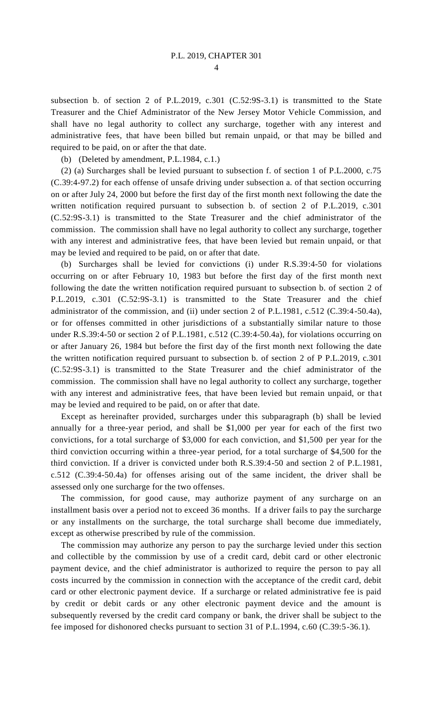subsection b. of section 2 of P.L.2019, c.301 (C.52:9S-3.1) is transmitted to the State Treasurer and the Chief Administrator of the New Jersey Motor Vehicle Commission, and shall have no legal authority to collect any surcharge, together with any interest and administrative fees, that have been billed but remain unpaid, or that may be billed and required to be paid, on or after the that date.

(b) (Deleted by amendment, P.L.1984, c.1.)

(2) (a) Surcharges shall be levied pursuant to subsection f. of section 1 of P.L.2000, c.75 (C.39:4-97.2) for each offense of unsafe driving under subsection a. of that section occurring on or after July 24, 2000 but before the first day of the first month next following the date the written notification required pursuant to subsection b. of section 2 of P.L.2019, c.301 (C.52:9S-3.1) is transmitted to the State Treasurer and the chief administrator of the commission. The commission shall have no legal authority to collect any surcharge, together with any interest and administrative fees, that have been levied but remain unpaid, or that may be levied and required to be paid, on or after that date.

(b) Surcharges shall be levied for convictions (i) under R.S.39:4-50 for violations occurring on or after February 10, 1983 but before the first day of the first month next following the date the written notification required pursuant to subsection b. of section 2 of P.L.2019, c.301 (C.52:9S-3.1) is transmitted to the State Treasurer and the chief administrator of the commission, and (ii) under section 2 of P.L.1981, c.512 (C.39:4-50.4a), or for offenses committed in other jurisdictions of a substantially similar nature to those under R.S.39:4-50 or section 2 of P.L.1981, c.512 (C.39:4-50.4a), for violations occurring on or after January 26, 1984 but before the first day of the first month next following the date the written notification required pursuant to subsection b. of section 2 of P P.L.2019, c.301 (C.52:9S-3.1) is transmitted to the State Treasurer and the chief administrator of the commission. The commission shall have no legal authority to collect any surcharge, together with any interest and administrative fees, that have been levied but remain unpaid, or that may be levied and required to be paid, on or after that date.

Except as hereinafter provided, surcharges under this subparagraph (b) shall be levied annually for a three-year period, and shall be \$1,000 per year for each of the first two convictions, for a total surcharge of \$3,000 for each conviction, and \$1,500 per year for the third conviction occurring within a three-year period, for a total surcharge of \$4,500 for the third conviction. If a driver is convicted under both R.S.39:4-50 and section 2 of P.L.1981, c.512 (C.39:4-50.4a) for offenses arising out of the same incident, the driver shall be assessed only one surcharge for the two offenses.

The commission, for good cause, may authorize payment of any surcharge on an installment basis over a period not to exceed 36 months. If a driver fails to pay the surcharge or any installments on the surcharge, the total surcharge shall become due immediately, except as otherwise prescribed by rule of the commission.

The commission may authorize any person to pay the surcharge levied under this section and collectible by the commission by use of a credit card, debit card or other electronic payment device, and the chief administrator is authorized to require the person to pay all costs incurred by the commission in connection with the acceptance of the credit card, debit card or other electronic payment device. If a surcharge or related administrative fee is paid by credit or debit cards or any other electronic payment device and the amount is subsequently reversed by the credit card company or bank, the driver shall be subject to the fee imposed for dishonored checks pursuant to section 31 of P.L.1994, c.60 (C.39:5-36.1).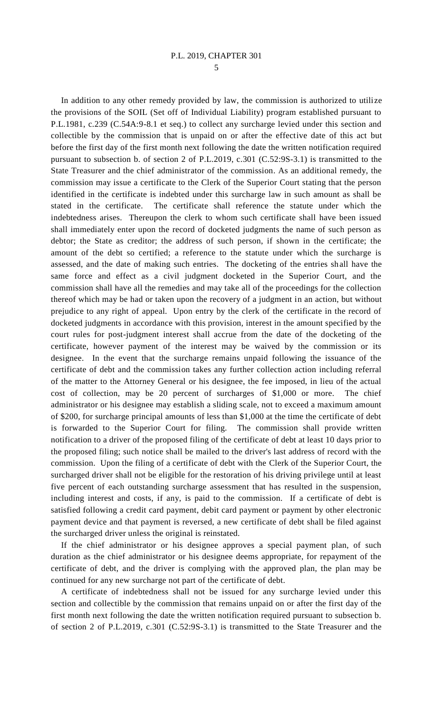In addition to any other remedy provided by law, the commission is authorized to utilize the provisions of the SOIL (Set off of Individual Liability) program established pursuant to P.L.1981, c.239 (C.54A:9-8.1 et seq.) to collect any surcharge levied under this section and collectible by the commission that is unpaid on or after the effective date of this act but before the first day of the first month next following the date the written notification required pursuant to subsection b. of section 2 of P.L.2019, c.301 (C.52:9S-3.1) is transmitted to the State Treasurer and the chief administrator of the commission. As an additional remedy, the commission may issue a certificate to the Clerk of the Superior Court stating that the person identified in the certificate is indebted under this surcharge law in such amount as shall be stated in the certificate. The certificate shall reference the statute under which the indebtedness arises. Thereupon the clerk to whom such certificate shall have been issued shall immediately enter upon the record of docketed judgments the name of such person as debtor; the State as creditor; the address of such person, if shown in the certificate; the amount of the debt so certified; a reference to the statute under which the surcharge is assessed, and the date of making such entries. The docketing of the entries shall have the same force and effect as a civil judgment docketed in the Superior Court, and the commission shall have all the remedies and may take all of the proceedings for the collection thereof which may be had or taken upon the recovery of a judgment in an action, but without prejudice to any right of appeal. Upon entry by the clerk of the certificate in the record of docketed judgments in accordance with this provision, interest in the amount specified by the court rules for post-judgment interest shall accrue from the date of the docketing of the certificate, however payment of the interest may be waived by the commission or its designee. In the event that the surcharge remains unpaid following the issuance of the certificate of debt and the commission takes any further collection action including referral of the matter to the Attorney General or his designee, the fee imposed, in lieu of the actual cost of collection, may be 20 percent of surcharges of \$1,000 or more. The chief administrator or his designee may establish a sliding scale, not to exceed a maximum amount of \$200, for surcharge principal amounts of less than \$1,000 at the time the certificate of debt is forwarded to the Superior Court for filing. The commission shall provide written notification to a driver of the proposed filing of the certificate of debt at least 10 days prior to the proposed filing; such notice shall be mailed to the driver's last address of record with the commission. Upon the filing of a certificate of debt with the Clerk of the Superior Court, the surcharged driver shall not be eligible for the restoration of his driving privilege until at least five percent of each outstanding surcharge assessment that has resulted in the suspension, including interest and costs, if any, is paid to the commission. If a certificate of debt is satisfied following a credit card payment, debit card payment or payment by other electronic payment device and that payment is reversed, a new certificate of debt shall be filed against the surcharged driver unless the original is reinstated.

If the chief administrator or his designee approves a special payment plan, of such duration as the chief administrator or his designee deems appropriate, for repayment of the certificate of debt, and the driver is complying with the approved plan, the plan may be continued for any new surcharge not part of the certificate of debt.

A certificate of indebtedness shall not be issued for any surcharge levied under this section and collectible by the commission that remains unpaid on or after the first day of the first month next following the date the written notification required pursuant to subsection b. of section 2 of P.L.2019, c.301 (C.52:9S-3.1) is transmitted to the State Treasurer and the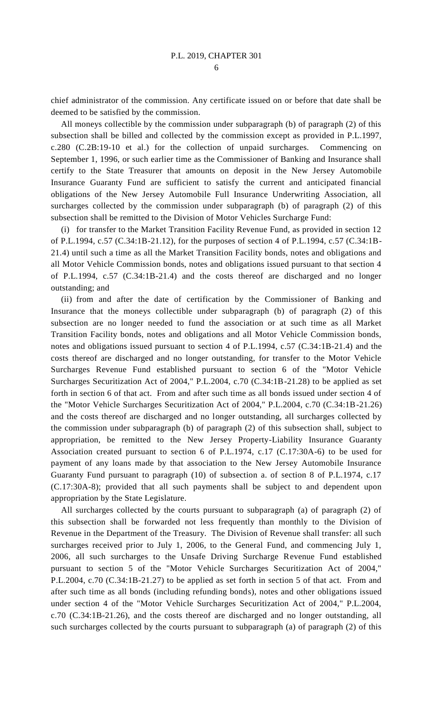chief administrator of the commission. Any certificate issued on or before that date shall be deemed to be satisfied by the commission.

All moneys collectible by the commission under subparagraph (b) of paragraph (2) of this subsection shall be billed and collected by the commission except as provided in P.L.1997, c.280 (C.2B:19-10 et al.) for the collection of unpaid surcharges. Commencing on September 1, 1996, or such earlier time as the Commissioner of Banking and Insurance shall certify to the State Treasurer that amounts on deposit in the New Jersey Automobile Insurance Guaranty Fund are sufficient to satisfy the current and anticipated financial obligations of the New Jersey Automobile Full Insurance Underwriting Association, all surcharges collected by the commission under subparagraph (b) of paragraph (2) of this subsection shall be remitted to the Division of Motor Vehicles Surcharge Fund:

(i) for transfer to the Market Transition Facility Revenue Fund, as provided in section 12 of P.L.1994, c.57 (C.34:1B-21.12), for the purposes of section 4 of P.L.1994, c.57 (C.34:1B-21.4) until such a time as all the Market Transition Facility bonds, notes and obligations and all Motor Vehicle Commission bonds, notes and obligations issued pursuant to that section 4 of P.L.1994, c.57 (C.34:1B-21.4) and the costs thereof are discharged and no longer outstanding; and

(ii) from and after the date of certification by the Commissioner of Banking and Insurance that the moneys collectible under subparagraph (b) of paragraph (2) of this subsection are no longer needed to fund the association or at such time as all Market Transition Facility bonds, notes and obligations and all Motor Vehicle Commission bonds, notes and obligations issued pursuant to section 4 of P.L.1994, c.57 (C.34:1B-21.4) and the costs thereof are discharged and no longer outstanding, for transfer to the Motor Vehicle Surcharges Revenue Fund established pursuant to section 6 of the "Motor Vehicle Surcharges Securitization Act of 2004," P.L.2004, c.70 (C.34:1B-21.28) to be applied as set forth in section 6 of that act. From and after such time as all bonds issued under section 4 of the "Motor Vehicle Surcharges Securitization Act of 2004," P.L.2004, c.70 (C.34:1B-21.26) and the costs thereof are discharged and no longer outstanding, all surcharges collected by the commission under subparagraph (b) of paragraph (2) of this subsection shall, subject to appropriation, be remitted to the New Jersey Property-Liability Insurance Guaranty Association created pursuant to section 6 of P.L.1974, c.17 (C.17:30A-6) to be used for payment of any loans made by that association to the New Jersey Automobile Insurance Guaranty Fund pursuant to paragraph (10) of subsection a. of section 8 of P.L.1974, c.17 (C.17:30A-8); provided that all such payments shall be subject to and dependent upon appropriation by the State Legislature.

All surcharges collected by the courts pursuant to subparagraph (a) of paragraph (2) of this subsection shall be forwarded not less frequently than monthly to the Division of Revenue in the Department of the Treasury. The Division of Revenue shall transfer: all such surcharges received prior to July 1, 2006, to the General Fund, and commencing July 1, 2006, all such surcharges to the Unsafe Driving Surcharge Revenue Fund established pursuant to section 5 of the "Motor Vehicle Surcharges Securitization Act of 2004," P.L.2004, c.70 (C.34:1B-21.27) to be applied as set forth in section 5 of that act. From and after such time as all bonds (including refunding bonds), notes and other obligations issued under section 4 of the "Motor Vehicle Surcharges Securitization Act of 2004," P.L.2004, c.70 (C.34:1B-21.26), and the costs thereof are discharged and no longer outstanding, all such surcharges collected by the courts pursuant to subparagraph (a) of paragraph (2) of this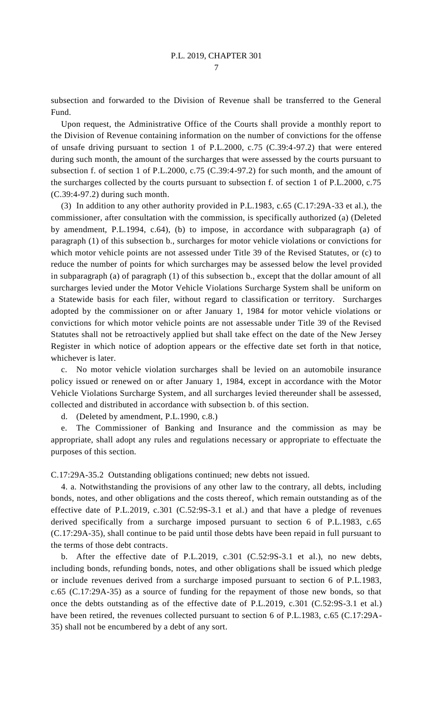subsection and forwarded to the Division of Revenue shall be transferred to the General Fund.

Upon request, the Administrative Office of the Courts shall provide a monthly report to the Division of Revenue containing information on the number of convictions for the offense of unsafe driving pursuant to section 1 of P.L.2000, c.75 (C.39:4-97.2) that were entered during such month, the amount of the surcharges that were assessed by the courts pursuant to subsection f. of section 1 of P.L.2000, c.75 (C.39:4-97.2) for such month, and the amount of the surcharges collected by the courts pursuant to subsection f. of section 1 of P.L.2000, c.75 (C.39:4-97.2) during such month.

(3) In addition to any other authority provided in P.L.1983, c.65 (C.17:29A-33 et al.), the commissioner, after consultation with the commission, is specifically authorized (a) (Deleted by amendment, P.L.1994, c.64), (b) to impose, in accordance with subparagraph (a) of paragraph (1) of this subsection b., surcharges for motor vehicle violations or convictions for which motor vehicle points are not assessed under Title 39 of the Revised Statutes, or (c) to reduce the number of points for which surcharges may be assessed below the level provided in subparagraph (a) of paragraph (1) of this subsection b., except that the dollar amount of all surcharges levied under the Motor Vehicle Violations Surcharge System shall be uniform on a Statewide basis for each filer, without regard to classification or territory. Surcharges adopted by the commissioner on or after January 1, 1984 for motor vehicle violations or convictions for which motor vehicle points are not assessable under Title 39 of the Revised Statutes shall not be retroactively applied but shall take effect on the date of the New Jersey Register in which notice of adoption appears or the effective date set forth in that notice, whichever is later.

c. No motor vehicle violation surcharges shall be levied on an automobile insurance policy issued or renewed on or after January 1, 1984, except in accordance with the Motor Vehicle Violations Surcharge System, and all surcharges levied thereunder shall be assessed, collected and distributed in accordance with subsection b. of this section.

d. (Deleted by amendment, P.L.1990, c.8.)

e. The Commissioner of Banking and Insurance and the commission as may be appropriate, shall adopt any rules and regulations necessary or appropriate to effectuate the purposes of this section.

C.17:29A-35.2 Outstanding obligations continued; new debts not issued.

4. a. Notwithstanding the provisions of any other law to the contrary, all debts, including bonds, notes, and other obligations and the costs thereof, which remain outstanding as of the effective date of P.L.2019, c.301 (C.52:9S-3.1 et al.) and that have a pledge of revenues derived specifically from a surcharge imposed pursuant to section 6 of P.L.1983, c.65 (C.17:29A-35), shall continue to be paid until those debts have been repaid in full pursuant to the terms of those debt contracts.

b. After the effective date of P.L.2019, c.301  $(C.52:9S-3.1$  et al.), no new debts, including bonds, refunding bonds, notes, and other obligations shall be issued which pledge or include revenues derived from a surcharge imposed pursuant to section 6 of P.L.1983, c.65 (C.17:29A-35) as a source of funding for the repayment of those new bonds, so that once the debts outstanding as of the effective date of P.L.2019, c.301 (C.52:9S-3.1 et al.) have been retired, the revenues collected pursuant to section 6 of P.L.1983, c.65 (C.17:29A-35) shall not be encumbered by a debt of any sort.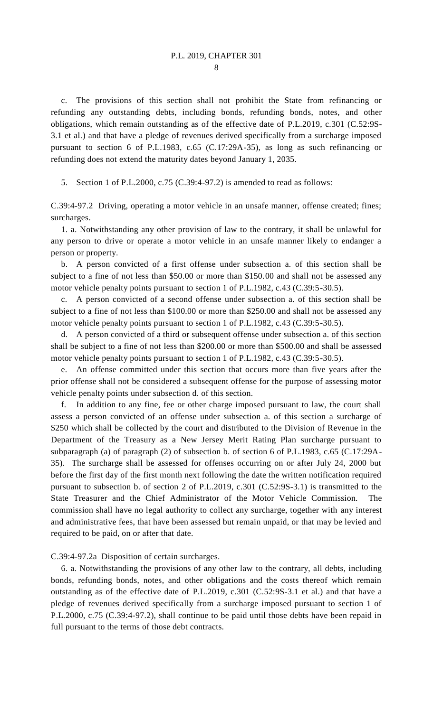c. The provisions of this section shall not prohibit the State from refinancing or refunding any outstanding debts, including bonds, refunding bonds, notes, and other obligations, which remain outstanding as of the effective date of P.L.2019, c.301 (C.52:9S-3.1 et al.) and that have a pledge of revenues derived specifically from a surcharge imposed pursuant to section 6 of P.L.1983, c.65 (C.17:29A-35), as long as such refinancing or refunding does not extend the maturity dates beyond January 1, 2035.

5. Section 1 of P.L.2000, c.75 (C.39:4-97.2) is amended to read as follows:

C.39:4-97.2 Driving, operating a motor vehicle in an unsafe manner, offense created; fines; surcharges.

1. a. Notwithstanding any other provision of law to the contrary, it shall be unlawful for any person to drive or operate a motor vehicle in an unsafe manner likely to endanger a person or property.

b. A person convicted of a first offense under subsection a. of this section shall be subject to a fine of not less than \$50.00 or more than \$150.00 and shall not be assessed any motor vehicle penalty points pursuant to section 1 of P.L.1982, c.43 (C.39:5-30.5).

c. A person convicted of a second offense under subsection a. of this section shall be subject to a fine of not less than \$100.00 or more than \$250.00 and shall not be assessed any motor vehicle penalty points pursuant to section 1 of P.L.1982, c.43 (C.39:5-30.5).

d. A person convicted of a third or subsequent offense under subsection a. of this section shall be subject to a fine of not less than \$200.00 or more than \$500.00 and shall be assessed motor vehicle penalty points pursuant to section 1 of P.L.1982, c.43 (C.39:5-30.5).

e. An offense committed under this section that occurs more than five years after the prior offense shall not be considered a subsequent offense for the purpose of assessing motor vehicle penalty points under subsection d. of this section.

f. In addition to any fine, fee or other charge imposed pursuant to law, the court shall assess a person convicted of an offense under subsection a. of this section a surcharge of \$250 which shall be collected by the court and distributed to the Division of Revenue in the Department of the Treasury as a New Jersey Merit Rating Plan surcharge pursuant to subparagraph (a) of paragraph (2) of subsection b. of section 6 of P.L.1983, c.65 (C.17:29A-35). The surcharge shall be assessed for offenses occurring on or after July 24, 2000 but before the first day of the first month next following the date the written notification required pursuant to subsection b. of section 2 of P.L.2019, c.301 (C.52:9S-3.1) is transmitted to the State Treasurer and the Chief Administrator of the Motor Vehicle Commission. The commission shall have no legal authority to collect any surcharge, together with any interest and administrative fees, that have been assessed but remain unpaid, or that may be levied and required to be paid, on or after that date.

C.39:4-97.2a Disposition of certain surcharges.

6. a. Notwithstanding the provisions of any other law to the contrary, all debts, including bonds, refunding bonds, notes, and other obligations and the costs thereof which remain outstanding as of the effective date of P.L.2019, c.301 (C.52:9S-3.1 et al.) and that have a pledge of revenues derived specifically from a surcharge imposed pursuant to section 1 of P.L.2000, c.75 (C.39:4-97.2), shall continue to be paid until those debts have been repaid in full pursuant to the terms of those debt contracts.